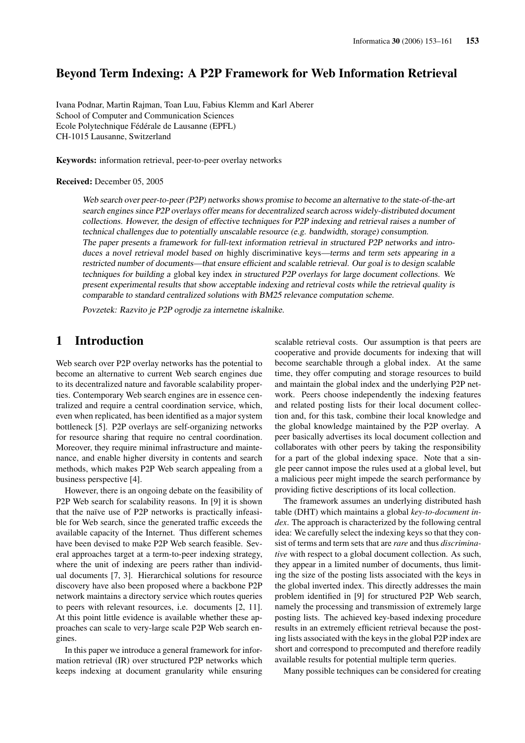## Beyond Term Indexing: A P2P Framework for Web Information Retrieval

Ivana Podnar, Martin Rajman, Toan Luu, Fabius Klemm and Karl Aberer School of Computer and Communication Sciences Ecole Polytechnique Fédérale de Lausanne (EPFL) CH-1015 Lausanne, Switzerland

Keywords: information retrieval, peer-to-peer overlay networks

#### Received: December 05, 2005

Web search over peer-to-peer (P2P) networks shows promise to become an alternative to the state-of-the-art search engines since P2P overlays offer means for decentralized search across widely-distributed document collections. However, the design of effective techniques for P2P indexing and retrieval raises <sup>a</sup> number of technical challenges due to potentially unscalable resource (e.g. bandwidth, storage) consumption. The paper presents a framework for full-text information retrieval in structured P2P networks and introduces a novel retrieval model based on highly discriminative keys—terms and term sets appearing in a restricted number of documents—that ensure efficient and scalable retrieval. Our goal is to design scalable techniques for building <sup>a</sup> global key index in structured P2P overlays for large document collections. We present experimental results that show acceptable indexing and retrieval costs while the retrieval quality is comparable to standard centralized solutions with BM25 relevance computation scheme.

Povzetek: Razvito je P2P ogrodje za internetne iskalnike.

### 1 Introduction

Web search over P2P overlay networks has the potential to become an alternative to current Web search engines due to its decentralized nature and favorable scalability properties. Contemporary Web search engines are in essence centralized and require a central coordination service, which, even when replicated, has been identified as a major system bottleneck [5]. P2P overlays are self-organizing networks for resource sharing that require no central coordination. Moreover, they require minimal infrastructure and maintenance, and enable higher diversity in contents and search methods, which makes P2P Web search appealing from a business perspective [4].

However, there is an ongoing debate on the feasibility of P2P Web search for scalability reasons. In [9] it is shown that the naïve use of P2P networks is practically infeasible for Web search, since the generated traffic exceeds the available capacity of the Internet. Thus different schemes have been devised to make P2P Web search feasible. Several approaches target at a term-to-peer indexing strategy, where the unit of indexing are peers rather than individual documents [7, 3]. Hierarchical solutions for resource discovery have also been proposed where a backbone P2P network maintains a directory service which routes queries to peers with relevant resources, i.e. documents [2, 11]. At this point little evidence is available whether these approaches can scale to very-large scale P2P Web search engines.

In this paper we introduce a general framework for information retrieval (IR) over structured P2P networks which keeps indexing at document granularity while ensuring scalable retrieval costs. Our assumption is that peers are cooperative and provide documents for indexing that will become searchable through a global index. At the same time, they offer computing and storage resources to build and maintain the global index and the underlying P2P network. Peers choose independently the indexing features and related posting lists for their local document collection and, for this task, combine their local knowledge and the global knowledge maintained by the P2P overlay. A peer basically advertises its local document collection and collaborates with other peers by taking the responsibility for a part of the global indexing space. Note that a single peer cannot impose the rules used at a global level, but a malicious peer might impede the search performance by providing fictive descriptions of its local collection.

The framework assumes an underlying distributed hash table (DHT) which maintains a global *key-to-document index*. The approach is characterized by the following central idea: We carefully select the indexing keys so that they consist of terms and term sets that are *rare* and thus *discriminative* with respect to a global document collection. As such, they appear in a limited number of documents, thus limiting the size of the posting lists associated with the keys in the global inverted index. This directly addresses the main problem identified in [9] for structured P2P Web search, namely the processing and transmission of extremely large posting lists. The achieved key-based indexing procedure results in an extremely efficient retrieval because the posting lists associated with the keys in the global P2P index are short and correspond to precomputed and therefore readily available results for potential multiple term queries.

Many possible techniques can be considered for creating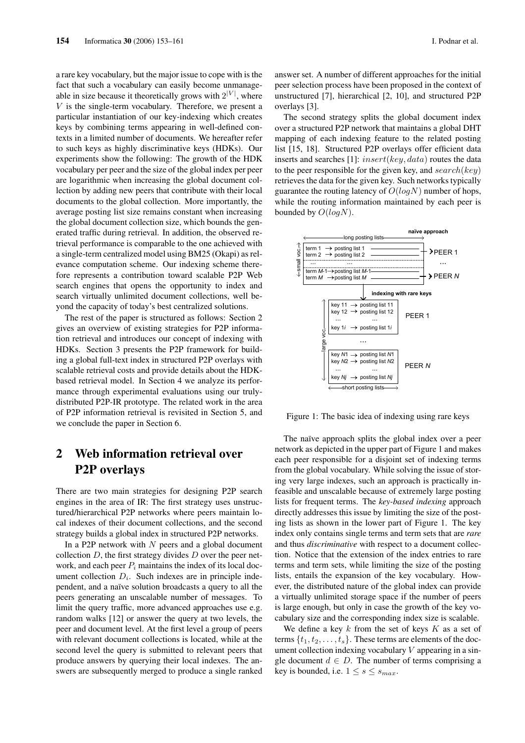a rare key vocabulary, but the major issue to cope with is the fact that such a vocabulary can easily become unmanageable in size because it theoretically grows with  $2^{|V|}$ , where  $V$  is the single-term vocabulary. Therefore, we present a particular instantiation of our key-indexing which creates keys by combining terms appearing in well-defined contexts in a limited number of documents. We hereafter refer to such keys as highly discriminative keys (HDKs). Our experiments show the following: The growth of the HDK vocabulary per peer and the size of the global index per peer are logarithmic when increasing the global document collection by adding new peers that contribute with their local documents to the global collection. More importantly, the average posting list size remains constant when increasing the global document collection size, which bounds the generated traffic during retrieval. In addition, the observed retrieval performance is comparable to the one achieved with a single-term centralized model using BM25 (Okapi) as relevance computation scheme. Our indexing scheme therefore represents a contribution toward scalable P2P Web search engines that opens the opportunity to index and search virtually unlimited document collections, well beyond the capacity of today's best centralized solutions.

The rest of the paper is structured as follows: Section 2 gives an overview of existing strategies for P2P information retrieval and introduces our concept of indexing with HDKs. Section 3 presents the P2P framework for building a global full-text index in structured P2P overlays with scalable retrieval costs and provide details about the HDKbased retrieval model. In Section 4 we analyze its performance through experimental evaluations using our trulydistributed P2P-IR prototype. The related work in the area of P2P information retrieval is revisited in Section 5, and we conclude the paper in Section 6.

# 2 Web information retrieval over P2P overlays

There are two main strategies for designing P2P search engines in the area of IR: The first strategy uses unstructured/hierarchical P2P networks where peers maintain local indexes of their document collections, and the second strategy builds a global index in structured P2P networks.

In a P2P network with  $N$  peers and a global document collection  $D$ , the first strategy divides  $D$  over the peer network, and each peer  $P_i$  maintains the index of its local document collection  $D_i$ . Such indexes are in principle independent, and a naïve solution broadcasts a query to all the peers generating an unscalable number of messages. To limit the query traffic, more advanced approaches use e.g. random walks [12] or answer the query at two levels, the peer and document level. At the first level a group of peers with relevant document collections is located, while at the second level the query is submitted to relevant peers that produce answers by querying their local indexes. The answers are subsequently merged to produce a single ranked answer set. A number of different approaches for the initial peer selection process have been proposed in the context of unstructured [7], hierarchical [2, 10], and structured P2P overlays [3].

The second strategy splits the global document index over a structured P2P network that maintains a global DHT mapping of each indexing feature to the related posting list [15, 18]. Structured P2P overlays offer efficient data inserts and searches [1]:  $insert(key, data)$  routes the data to the peer responsible for the given key, and  $search(key)$ retrieves the data for the given key. Such networks typically guarantee the routing latency of  $O(logN)$  number of hops, while the routing information maintained by each peer is bounded by  $O(logN)$ .



Figure 1: The basic idea of indexing using rare keys

The naïve approach splits the global index over a peer network as depicted in the upper part of Figure 1 and makes each peer responsible for a disjoint set of indexing terms from the global vocabulary. While solving the issue of storing very large indexes, such an approach is practically infeasible and unscalable because of extremely large posting lists for frequent terms. The *key-based indexing* approach directly addresses this issue by limiting the size of the posting lists as shown in the lower part of Figure 1. The key index only contains single terms and term sets that are *rare* and thus *discriminative* with respect to a document collection. Notice that the extension of the index entries to rare terms and term sets, while limiting the size of the posting lists, entails the expansion of the key vocabulary. However, the distributed nature of the global index can provide a virtually unlimited storage space if the number of peers is large enough, but only in case the growth of the key vocabulary size and the corresponding index size is scalable.

We define a key  $k$  from the set of keys  $K$  as a set of terms  $\{t_1, t_2, \ldots, t_s\}$ . These terms are elements of the document collection indexing vocabulary  $V$  appearing in a single document  $d \in D$ . The number of terms comprising a key is bounded, i.e.  $1 \leq s \leq s_{max}$ .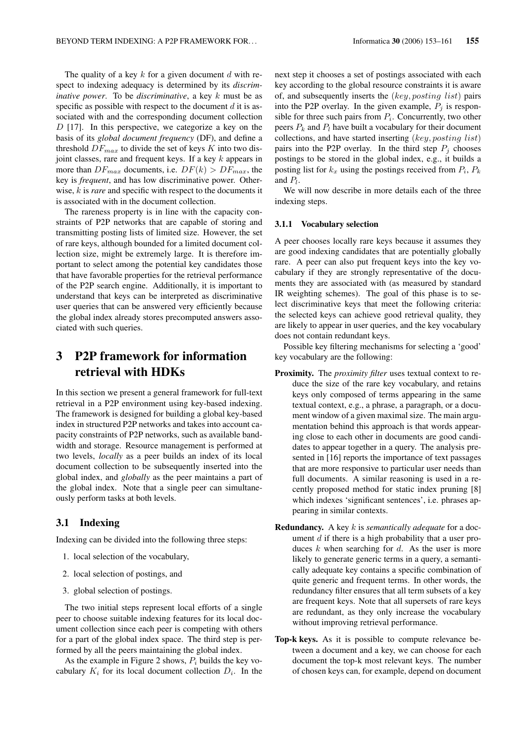The quality of a key  $k$  for a given document  $d$  with respect to indexing adequacy is determined by its *discriminative power*. To be *discriminative*, a key k must be as specific as possible with respect to the document  $d$  it is associated with and the corresponding document collection  $D$  [17]. In this perspective, we categorize a key on the basis of its *global document frequency* (DF), and define a threshold  $DF_{max}$  to divide the set of keys K into two disjoint classes, rare and frequent keys. If a key  $k$  appears in more than  $DF_{max}$  documents, i.e.  $DF(k) > DF_{max}$ , the key is *frequent*, and has low discriminative power. Otherwise, k is *rare* and specific with respect to the documents it is associated with in the document collection.

The rareness property is in line with the capacity constraints of P2P networks that are capable of storing and transmitting posting lists of limited size. However, the set of rare keys, although bounded for a limited document collection size, might be extremely large. It is therefore important to select among the potential key candidates those that have favorable properties for the retrieval performance of the P2P search engine. Additionally, it is important to understand that keys can be interpreted as discriminative user queries that can be answered very efficiently because the global index already stores precomputed answers associated with such queries.

# 3 P2P framework for information retrieval with HDKs

In this section we present a general framework for full-text retrieval in a P2P environment using key-based indexing. The framework is designed for building a global key-based index in structured P2P networks and takes into account capacity constraints of P2P networks, such as available bandwidth and storage. Resource management is performed at two levels, *locally* as a peer builds an index of its local document collection to be subsequently inserted into the global index, and *globally* as the peer maintains a part of the global index. Note that a single peer can simultaneously perform tasks at both levels.

#### 3.1 Indexing

Indexing can be divided into the following three steps:

- 1. local selection of the vocabulary,
- 2. local selection of postings, and
- 3. global selection of postings.

The two initial steps represent local efforts of a single peer to choose suitable indexing features for its local document collection since each peer is competing with others for a part of the global index space. The third step is performed by all the peers maintaining the global index.

As the example in Figure 2 shows,  $P_i$  builds the key vocabulary  $K_i$  for its local document collection  $D_i$ . In the next step it chooses a set of postings associated with each key according to the global resource constraints it is aware of, and subsequently inserts the (key, posting list) pairs into the P2P overlay. In the given example,  $P_i$  is responsible for three such pairs from  $P_i$ . Concurrently, two other peers  $P_k$  and  $P_l$  have built a vocabulary for their document collections, and have started inserting  $(key, pointing\ list)$ pairs into the P2P overlay. In the third step  $P_j$  chooses postings to be stored in the global index, e.g., it builds a posting list for  $k_x$  using the postings received from  $P_i$ ,  $P_k$ and  $P_l$ .

We will now describe in more details each of the three indexing steps.

#### 3.1.1 Vocabulary selection

A peer chooses locally rare keys because it assumes they are good indexing candidates that are potentially globally rare. A peer can also put frequent keys into the key vocabulary if they are strongly representative of the documents they are associated with (as measured by standard IR weighting schemes). The goal of this phase is to select discriminative keys that meet the following criteria: the selected keys can achieve good retrieval quality, they are likely to appear in user queries, and the key vocabulary does not contain redundant keys.

Possible key filtering mechanisms for selecting a 'good' key vocabulary are the following:

- Proximity. The *proximity filter* uses textual context to reduce the size of the rare key vocabulary, and retains keys only composed of terms appearing in the same textual context, e.g., a phrase, a paragraph, or a document window of a given maximal size. The main argumentation behind this approach is that words appearing close to each other in documents are good candidates to appear together in a query. The analysis presented in [16] reports the importance of text passages that are more responsive to particular user needs than full documents. A similar reasoning is used in a recently proposed method for static index pruning [8] which indexes 'significant sentences', i.e. phrases appearing in similar contexts.
- Redundancy. A key k is *semantically adequate* for a document  $d$  if there is a high probability that a user produces  $k$  when searching for  $d$ . As the user is more likely to generate generic terms in a query, a semantically adequate key contains a specific combination of quite generic and frequent terms. In other words, the redundancy filter ensures that all term subsets of a key are frequent keys. Note that all supersets of rare keys are redundant, as they only increase the vocabulary without improving retrieval performance.
- Top-k keys. As it is possible to compute relevance between a document and a key, we can choose for each document the top-k most relevant keys. The number of chosen keys can, for example, depend on document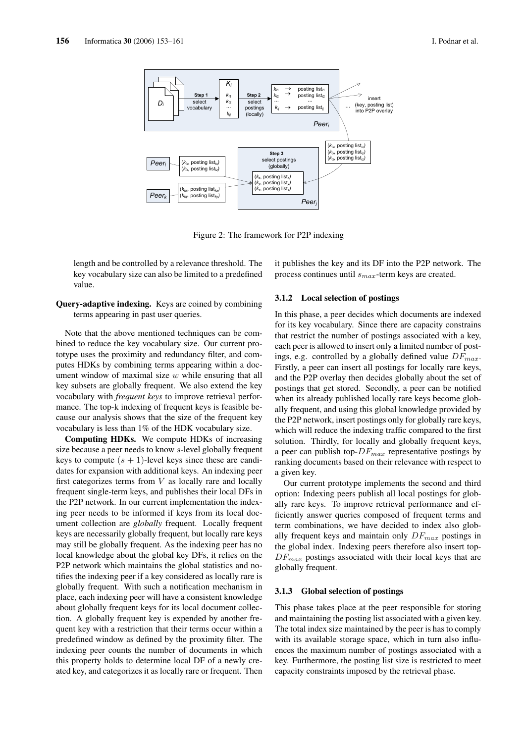

Figure 2: The framework for P2P indexing

length and be controlled by a relevance threshold. The key vocabulary size can also be limited to a predefined value.

#### Query-adaptive indexing. Keys are coined by combining terms appearing in past user queries.

Note that the above mentioned techniques can be combined to reduce the key vocabulary size. Our current prototype uses the proximity and redundancy filter, and computes HDKs by combining terms appearing within a document window of maximal size  $w$  while ensuring that all key subsets are globally frequent. We also extend the key vocabulary with *frequent keys* to improve retrieval performance. The top-k indexing of frequent keys is feasible because our analysis shows that the size of the frequent key vocabulary is less than 1% of the HDK vocabulary size.

Computing HDKs. We compute HDKs of increasing size because a peer needs to know s-level globally frequent keys to compute  $(s + 1)$ -level keys since these are candidates for expansion with additional keys. An indexing peer first categorizes terms from  $V$  as locally rare and locally frequent single-term keys, and publishes their local DFs in the P2P network. In our current implementation the indexing peer needs to be informed if keys from its local document collection are *globally* frequent. Locally frequent keys are necessarily globally frequent, but locally rare keys may still be globally frequent. As the indexing peer has no local knowledge about the global key DFs, it relies on the P2P network which maintains the global statistics and notifies the indexing peer if a key considered as locally rare is globally frequent. With such a notification mechanism in place, each indexing peer will have a consistent knowledge about globally frequent keys for its local document collection. A globally frequent key is expended by another frequent key with a restriction that their terms occur within a predefined window as defined by the proximity filter. The indexing peer counts the number of documents in which this property holds to determine local DF of a newly created key, and categorizes it as locally rare or frequent. Then it publishes the key and its DF into the P2P network. The process continues until  $s_{max}$ -term keys are created.

#### 3.1.2 Local selection of postings

In this phase, a peer decides which documents are indexed for its key vocabulary. Since there are capacity constrains that restrict the number of postings associated with a key, each peer is allowed to insert only a limited number of postings, e.g. controlled by a globally defined value  $DF_{max}$ . Firstly, a peer can insert all postings for locally rare keys, and the P2P overlay then decides globally about the set of postings that get stored. Secondly, a peer can be notified when its already published locally rare keys become globally frequent, and using this global knowledge provided by the P2P network, insert postings only for globally rare keys, which will reduce the indexing traffic compared to the first solution. Thirdly, for locally and globally frequent keys, a peer can publish top- $DF_{max}$  representative postings by ranking documents based on their relevance with respect to a given key.

Our current prototype implements the second and third option: Indexing peers publish all local postings for globally rare keys. To improve retrieval performance and efficiently answer queries composed of frequent terms and term combinations, we have decided to index also globally frequent keys and maintain only  $DF_{max}$  postings in the global index. Indexing peers therefore also insert top- $DF_{max}$  postings associated with their local keys that are globally frequent.

#### 3.1.3 Global selection of postings

This phase takes place at the peer responsible for storing and maintaining the posting list associated with a given key. The total index size maintained by the peer is has to comply with its available storage space, which in turn also influences the maximum number of postings associated with a key. Furthermore, the posting list size is restricted to meet capacity constraints imposed by the retrieval phase.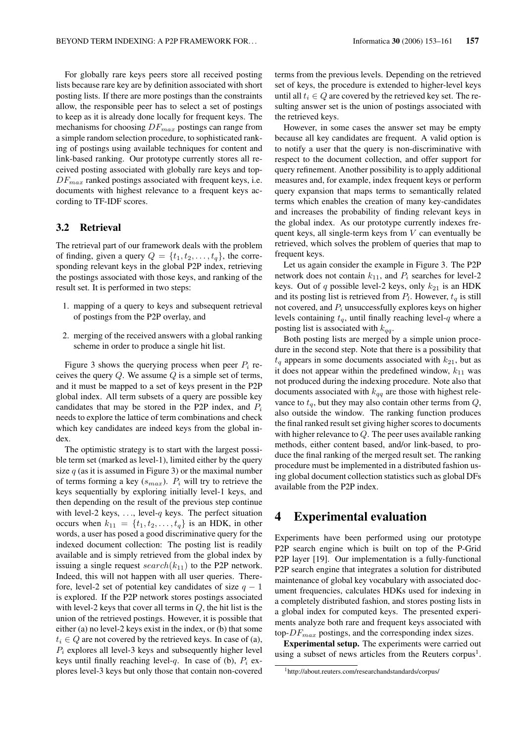For globally rare keys peers store all received posting lists because rare key are by definition associated with short posting lists. If there are more postings than the constraints allow, the responsible peer has to select a set of postings to keep as it is already done locally for frequent keys. The mechanisms for choosing  $DF_{max}$  postings can range from a simple random selection procedure, to sophisticated ranking of postings using available techniques for content and link-based ranking. Our prototype currently stores all received posting associated with globally rare keys and top- $DF_{max}$  ranked postings associated with frequent keys, i.e. documents with highest relevance to a frequent keys according to TF-IDF scores.

### 3.2 Retrieval

The retrieval part of our framework deals with the problem of finding, given a query  $Q = \{t_1, t_2, \ldots, t_q\}$ , the corresponding relevant keys in the global P2P index, retrieving the postings associated with those keys, and ranking of the result set. It is performed in two steps:

- 1. mapping of a query to keys and subsequent retrieval of postings from the P2P overlay, and
- 2. merging of the received answers with a global ranking scheme in order to produce a single hit list.

Figure 3 shows the querying process when peer  $P_i$  receives the query  $Q$ . We assume  $Q$  is a simple set of terms, and it must be mapped to a set of keys present in the P2P global index. All term subsets of a query are possible key candidates that may be stored in the P2P index, and  $P_i$ needs to explore the lattice of term combinations and check which key candidates are indeed keys from the global index.

The optimistic strategy is to start with the largest possible term set (marked as level-1), limited either by the query size  $q$  (as it is assumed in Figure 3) or the maximal number of terms forming a key  $(s_{max})$ .  $P_i$  will try to retrieve the keys sequentially by exploring initially level-1 keys, and then depending on the result of the previous step continue with level-2 keys,  $\dots$ , level-q keys. The perfect situation occurs when  $k_{11} = \{t_1, t_2, \ldots, t_q\}$  is an HDK, in other words, a user has posed a good discriminative query for the indexed document collection: The posting list is readily available and is simply retrieved from the global index by issuing a single request  $search(k_{11})$  to the P2P network. Indeed, this will not happen with all user queries. Therefore, level-2 set of potential key candidates of size  $q - 1$ is explored. If the P2P network stores postings associated with level-2 keys that cover all terms in  $Q$ , the hit list is the union of the retrieved postings. However, it is possible that either (a) no level-2 keys exist in the index, or (b) that some  $t_i \in Q$  are not covered by the retrieved keys. In case of (a),  $P_i$  explores all level-3 keys and subsequently higher level keys until finally reaching level-q. In case of (b),  $P_i$  explores level-3 keys but only those that contain non-covered terms from the previous levels. Depending on the retrieved set of keys, the procedure is extended to higher-level keys until all  $t_i \in Q$  are covered by the retrieved key set. The resulting answer set is the union of postings associated with the retrieved keys.

However, in some cases the answer set may be empty because all key candidates are frequent. A valid option is to notify a user that the query is non-discriminative with respect to the document collection, and offer support for query refinement. Another possibility is to apply additional measures and, for example, index frequent keys or perform query expansion that maps terms to semantically related terms which enables the creation of many key-candidates and increases the probability of finding relevant keys in the global index. As our prototype currently indexes frequent keys, all single-term keys from  $V$  can eventually be retrieved, which solves the problem of queries that map to frequent keys.

Let us again consider the example in Figure 3. The P2P network does not contain  $k_{11}$ , and  $P_i$  searches for level-2 keys. Out of q possible level-2 keys, only  $k_{21}$  is an HDK and its posting list is retrieved from  $P_l$ . However,  $t_q$  is still not covered, and  $P_i$  unsuccessfully explores keys on higher levels containing  $t_q$ , until finally reaching level-q where a posting list is associated with  $k_{qq}$ .

Both posting lists are merged by a simple union procedure in the second step. Note that there is a possibility that  $t_q$  appears in some documents associated with  $k_{21}$ , but as it does not appear within the predefined window,  $k_{11}$  was not produced during the indexing procedure. Note also that documents associated with  $k_{qq}$  are those with highest relevance to  $t_q$ , but they may also contain other terms from  $Q$ , also outside the window. The ranking function produces the final ranked result set giving higher scores to documents with higher relevance to Q. The peer uses available ranking methods, either content based, and/or link-based, to produce the final ranking of the merged result set. The ranking procedure must be implemented in a distributed fashion using global document collection statistics such as global DFs available from the P2P index.

### 4 Experimental evaluation

Experiments have been performed using our prototype P2P search engine which is built on top of the P-Grid P2P layer [19]. Our implementation is a fully-functional P2P search engine that integrates a solution for distributed maintenance of global key vocabulary with associated document frequencies, calculates HDKs used for indexing in a completely distributed fashion, and stores posting lists in a global index for computed keys. The presented experiments analyze both rare and frequent keys associated with top- $DF_{max}$  postings, and the corresponding index sizes.

Experimental setup. The experiments were carried out using a subset of news articles from the Reuters corpus<sup>1</sup>.

<sup>1</sup>http://about.reuters.com/researchandstandards/corpus/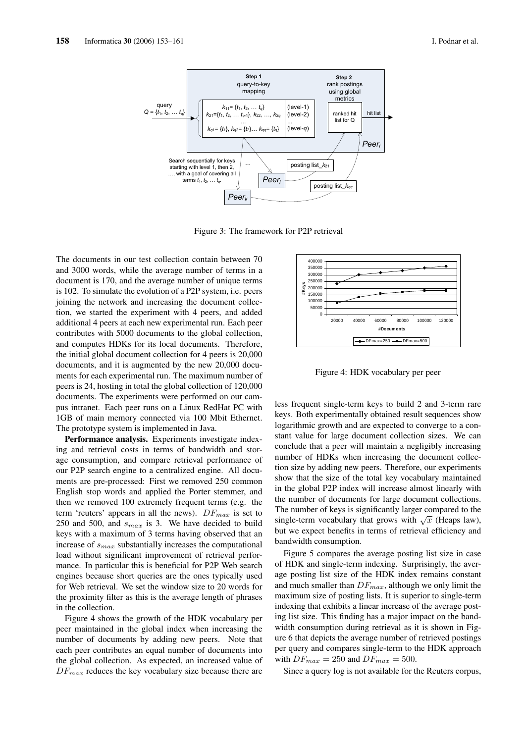

Figure 3: The framework for P2P retrieval

The documents in our test collection contain between 70 and 3000 words, while the average number of terms in a document is 170, and the average number of unique terms is 102. To simulate the evolution of a P2P system, i.e. peers joining the network and increasing the document collection, we started the experiment with 4 peers, and added additional 4 peers at each new experimental run. Each peer contributes with 5000 documents to the global collection, and computes HDKs for its local documents. Therefore, the initial global document collection for 4 peers is 20,000 documents, and it is augmented by the new 20,000 documents for each experimental run. The maximum number of peers is 24, hosting in total the global collection of 120,000 documents. The experiments were performed on our campus intranet. Each peer runs on a Linux RedHat PC with 1GB of main memory connected via 100 Mbit Ethernet. The prototype system is implemented in Java.

Performance analysis. Experiments investigate indexing and retrieval costs in terms of bandwidth and storage consumption, and compare retrieval performance of our P2P search engine to a centralized engine. All documents are pre-processed: First we removed 250 common English stop words and applied the Porter stemmer, and then we removed 100 extremely frequent terms (e.g. the term 'reuters' appears in all the news).  $DF_{max}$  is set to 250 and 500, and  $s_{max}$  is 3. We have decided to build keys with a maximum of 3 terms having observed that an increase of  $s_{max}$  substantially increases the computational load without significant improvement of retrieval performance. In particular this is beneficial for P2P Web search engines because short queries are the ones typically used for Web retrieval. We set the window size to 20 words for the proximity filter as this is the average length of phrases in the collection.

Figure 4 shows the growth of the HDK vocabulary per peer maintained in the global index when increasing the number of documents by adding new peers. Note that each peer contributes an equal number of documents into the global collection. As expected, an increased value of  $DF_{max}$  reduces the key vocabulary size because there are



Figure 4: HDK vocabulary per peer

less frequent single-term keys to build 2 and 3-term rare keys. Both experimentally obtained result sequences show logarithmic growth and are expected to converge to a constant value for large document collection sizes. We can conclude that a peer will maintain a negligibly increasing number of HDKs when increasing the document collection size by adding new peers. Therefore, our experiments show that the size of the total key vocabulary maintained in the global P2P index will increase almost linearly with the number of documents for large document collections. The number of keys is significantly larger compared to the The number of keys is significantly larger compared to the single-term vocabulary that grows with  $\sqrt{x}$  (Heaps law), but we expect benefits in terms of retrieval efficiency and bandwidth consumption.

Figure 5 compares the average posting list size in case of HDK and single-term indexing. Surprisingly, the average posting list size of the HDK index remains constant and much smaller than  $DF_{max}$ , although we only limit the maximum size of posting lists. It is superior to single-term indexing that exhibits a linear increase of the average posting list size. This finding has a major impact on the bandwidth consumption during retrieval as it is shown in Figure 6 that depicts the average number of retrieved postings per query and compares single-term to the HDK approach with  $DF_{max} = 250$  and  $DF_{max} = 500$ .

Since a query log is not available for the Reuters corpus,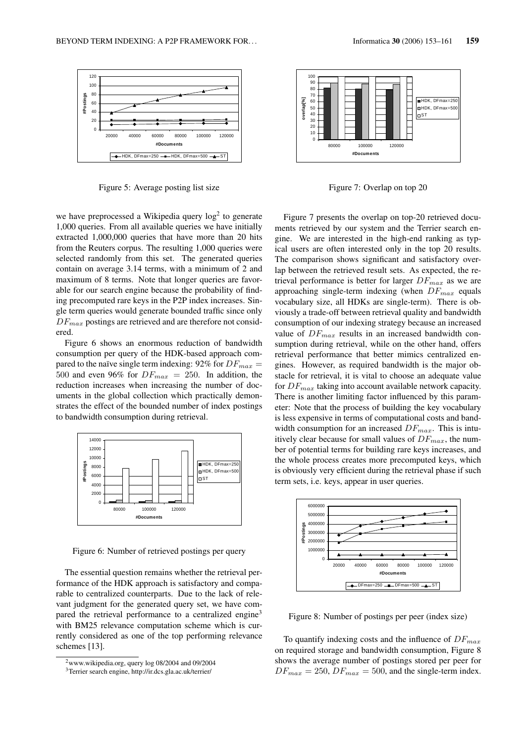

Figure 5: Average posting list size

we have preprocessed a Wikipedia query  $log<sup>2</sup>$  to generate 1,000 queries. From all available queries we have initially extracted 1,000,000 queries that have more than 20 hits from the Reuters corpus. The resulting 1,000 queries were selected randomly from this set. The generated queries contain on average 3.14 terms, with a minimum of 2 and maximum of 8 terms. Note that longer queries are favorable for our search engine because the probability of finding precomputed rare keys in the P2P index increases. Single term queries would generate bounded traffic since only  $DF_{max}$  postings are retrieved and are therefore not considered.

Figure 6 shows an enormous reduction of bandwidth consumption per query of the HDK-based approach compared to the naïve single term indexing: 92% for  $DF_{max}$  = 500 and even 96% for  $DF_{max} = 250$ . In addition, the reduction increases when increasing the number of documents in the global collection which practically demonstrates the effect of the bounded number of index postings to bandwidth consumption during retrieval.



Figure 6: Number of retrieved postings per query

The essential question remains whether the retrieval performance of the HDK approach is satisfactory and comparable to centralized counterparts. Due to the lack of relevant judgment for the generated query set, we have compared the retrieval performance to a centralized engine<sup>3</sup> with BM25 relevance computation scheme which is currently considered as one of the top performing relevance schemes [13].



Figure 7: Overlap on top 20

Figure 7 presents the overlap on top-20 retrieved documents retrieved by our system and the Terrier search engine. We are interested in the high-end ranking as typical users are often interested only in the top 20 results. The comparison shows significant and satisfactory overlap between the retrieved result sets. As expected, the retrieval performance is better for larger  $DF_{max}$  as we are approaching single-term indexing (when  $DF_{max}$  equals vocabulary size, all HDKs are single-term). There is obviously a trade-off between retrieval quality and bandwidth consumption of our indexing strategy because an increased value of  $DF_{max}$  results in an increased bandwidth consumption during retrieval, while on the other hand, offers retrieval performance that better mimics centralized engines. However, as required bandwidth is the major obstacle for retrieval, it is vital to choose an adequate value for  $DF_{max}$  taking into account available network capacity. There is another limiting factor influenced by this parameter: Note that the process of building the key vocabulary is less expensive in terms of computational costs and bandwidth consumption for an increased  $DF_{max}$ . This is intuitively clear because for small values of  $DF_{max}$ , the number of potential terms for building rare keys increases, and the whole process creates more precomputed keys, which is obviously very efficient during the retrieval phase if such term sets, i.e. keys, appear in user queries.



Figure 8: Number of postings per peer (index size)

To quantify indexing costs and the influence of  $DF_{max}$ on required storage and bandwidth consumption, Figure 8 shows the average number of postings stored per peer for  $DF_{max} = 250, DF_{max} = 500$ , and the single-term index.

<sup>2</sup>www.wikipedia.org, query log 08/2004 and 09/2004

<sup>3</sup>Terrier search engine, http://ir.dcs.gla.ac.uk/terrier/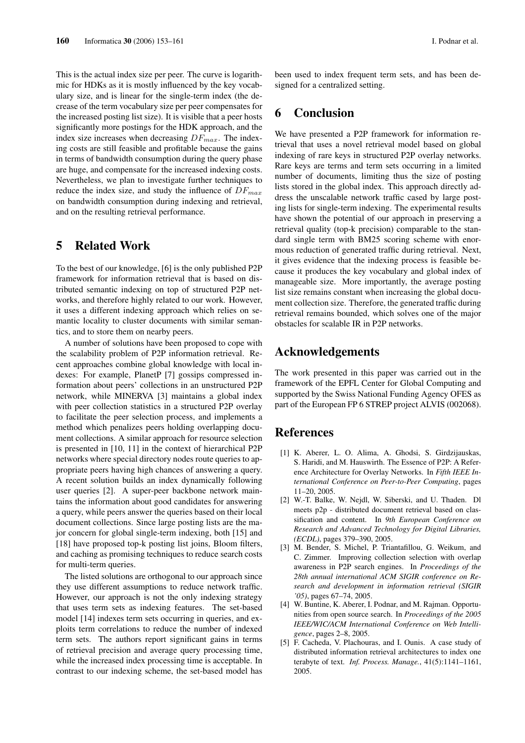This is the actual index size per peer. The curve is logarithmic for HDKs as it is mostly influenced by the key vocabulary size, and is linear for the single-term index (the decrease of the term vocabulary size per peer compensates for the increased posting list size). It is visible that a peer hosts significantly more postings for the HDK approach, and the index size increases when decreasing  $DF_{max}$ . The indexing costs are still feasible and profitable because the gains in terms of bandwidth consumption during the query phase are huge, and compensate for the increased indexing costs. Nevertheless, we plan to investigate further techniques to reduce the index size, and study the influence of  $DF_{max}$ on bandwidth consumption during indexing and retrieval, and on the resulting retrieval performance.

### 5 Related Work

To the best of our knowledge, [6] is the only published P2P framework for information retrieval that is based on distributed semantic indexing on top of structured P2P networks, and therefore highly related to our work. However, it uses a different indexing approach which relies on semantic locality to cluster documents with similar semantics, and to store them on nearby peers.

A number of solutions have been proposed to cope with the scalability problem of P2P information retrieval. Recent approaches combine global knowledge with local indexes: For example, PlanetP [7] gossips compressed information about peers' collections in an unstructured P2P network, while MINERVA [3] maintains a global index with peer collection statistics in a structured P2P overlay to facilitate the peer selection process, and implements a method which penalizes peers holding overlapping document collections. A similar approach for resource selection is presented in [10, 11] in the context of hierarchical P2P networks where special directory nodes route queries to appropriate peers having high chances of answering a query. A recent solution builds an index dynamically following user queries [2]. A super-peer backbone network maintains the information about good candidates for answering a query, while peers answer the queries based on their local document collections. Since large posting lists are the major concern for global single-term indexing, both [15] and [18] have proposed top-k posting list joins, Bloom filters, and caching as promising techniques to reduce search costs for multi-term queries.

The listed solutions are orthogonal to our approach since they use different assumptions to reduce network traffic. However, our approach is not the only indexing strategy that uses term sets as indexing features. The set-based model [14] indexes term sets occurring in queries, and exploits term correlations to reduce the number of indexed term sets. The authors report significant gains in terms of retrieval precision and average query processing time, while the increased index processing time is acceptable. In contrast to our indexing scheme, the set-based model has

been used to index frequent term sets, and has been designed for a centralized setting.

## 6 Conclusion

We have presented a P2P framework for information retrieval that uses a novel retrieval model based on global indexing of rare keys in structured P2P overlay networks. Rare keys are terms and term sets occurring in a limited number of documents, limiting thus the size of posting lists stored in the global index. This approach directly address the unscalable network traffic cased by large posting lists for single-term indexing. The experimental results have shown the potential of our approach in preserving a retrieval quality (top-k precision) comparable to the standard single term with BM25 scoring scheme with enormous reduction of generated traffic during retrieval. Next, it gives evidence that the indexing process is feasible because it produces the key vocabulary and global index of manageable size. More importantly, the average posting list size remains constant when increasing the global document collection size. Therefore, the generated traffic during retrieval remains bounded, which solves one of the major obstacles for scalable IR in P2P networks.

### Acknowledgements

The work presented in this paper was carried out in the framework of the EPFL Center for Global Computing and supported by the Swiss National Funding Agency OFES as part of the European FP 6 STREP project ALVIS (002068).

### References

- [1] K. Aberer, L. O. Alima, A. Ghodsi, S. Girdzijauskas, S. Haridi, and M. Hauswirth. The Essence of P2P: A Reference Architecture for Overlay Networks. In *Fifth IEEE International Conference on Peer-to-Peer Computing*, pages 11–20, 2005.
- [2] W.-T. Balke, W. Nejdl, W. Siberski, and U. Thaden. Dl meets p2p - distributed document retrieval based on classification and content. In *9th European Conference on Research and Advanced Technology for Digital Libraries, (ECDL)*, pages 379–390, 2005.
- [3] M. Bender, S. Michel, P. Triantafillou, G. Weikum, and C. Zimmer. Improving collection selection with overlap awareness in P2P search engines. In *Proceedings of the 28th annual international ACM SIGIR conference on Research and development in information retrieval (SIGIR '05)*, pages 67–74, 2005.
- [4] W. Buntine, K. Aberer, I. Podnar, and M. Rajman. Opportunities from open source search. In *Proceedings of the 2005 IEEE/WIC/ACM International Conference on Web Intelligence*, pages 2–8, 2005.
- [5] F. Cacheda, V. Plachouras, and I. Ounis. A case study of distributed information retrieval architectures to index one terabyte of text. *Inf. Process. Manage.*, 41(5):1141–1161, 2005.